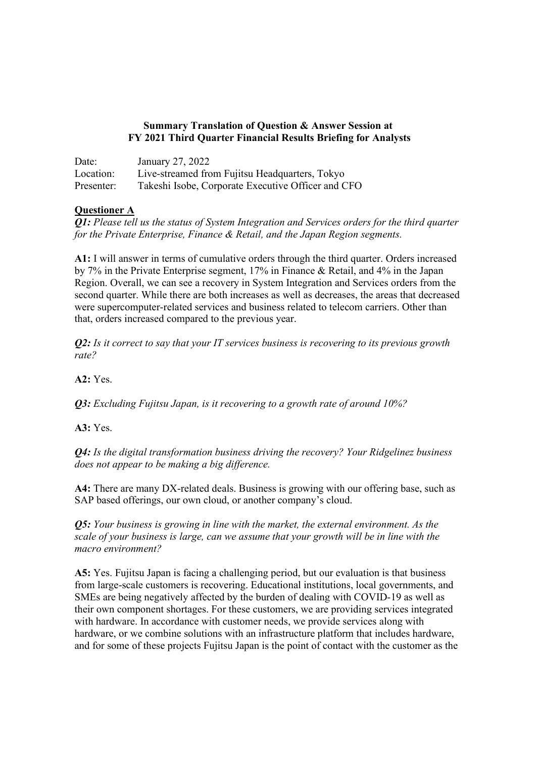## **Summary Translation of Question & Answer Session at FY 2021 Third Quarter Financial Results Briefing for Analysts**

| Date:      | January 27, 2022                                   |
|------------|----------------------------------------------------|
| Location:  | Live-streamed from Fujitsu Headquarters, Tokyo     |
| Presenter: | Takeshi Isobe, Corporate Executive Officer and CFO |

# **Questioner A**

*Q1: Please tell us the status of System Integration and Services orders for the third quarter for the Private Enterprise, Finance & Retail, and the Japan Region segments.*

**A1:** I will answer in terms of cumulative orders through the third quarter. Orders increased by 7% in the Private Enterprise segment, 17% in Finance & Retail, and 4% in the Japan Region. Overall, we can see a recovery in System Integration and Services orders from the second quarter. While there are both increases as well as decreases, the areas that decreased were supercomputer-related services and business related to telecom carriers. Other than that, orders increased compared to the previous year.

*Q2: Is it correct to say that your IT services business is recovering to its previous growth rate?*

**A2:** Yes.

*Q3: Excluding Fujitsu Japan, is it recovering to a growth rate of around 10%?*

**A3:** Yes.

*Q4: Is the digital transformation business driving the recovery? Your Ridgelinez business does not appear to be making a big difference.*

**A4:** There are many DX-related deals. Business is growing with our offering base, such as SAP based offerings, our own cloud, or another company's cloud.

*Q5: Your business is growing in line with the market, the external environment. As the scale of your business is large, can we assume that your growth will be in line with the macro environment?*

**A5:** Yes. Fujitsu Japan is facing a challenging period, but our evaluation is that business from large-scale customers is recovering. Educational institutions, local governments, and SMEs are being negatively affected by the burden of dealing with COVID-19 as well as their own component shortages. For these customers, we are providing services integrated with hardware. In accordance with customer needs, we provide services along with hardware, or we combine solutions with an infrastructure platform that includes hardware, and for some of these projects Fujitsu Japan is the point of contact with the customer as the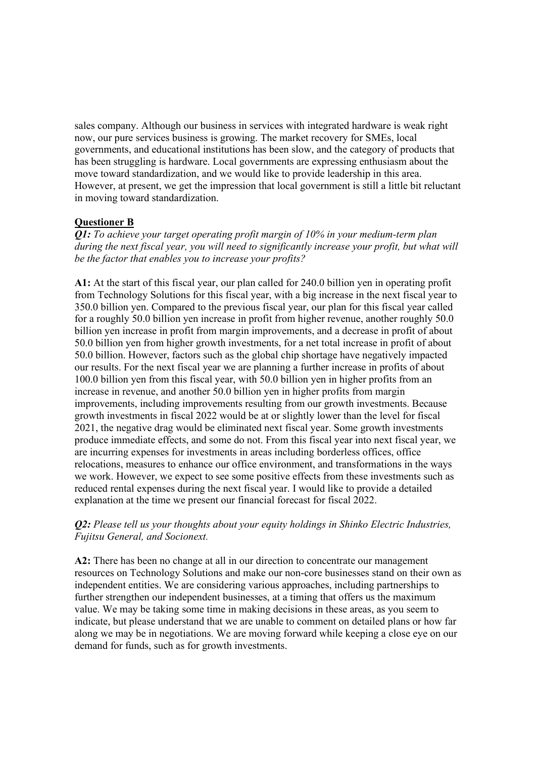sales company. Although our business in services with integrated hardware is weak right now, our pure services business is growing. The market recovery for SMEs, local governments, and educational institutions has been slow, and the category of products that has been struggling is hardware. Local governments are expressing enthusiasm about the move toward standardization, and we would like to provide leadership in this area. However, at present, we get the impression that local government is still a little bit reluctant in moving toward standardization.

## **Questioner B**

*Q1: To achieve your target operating profit margin of 10% in your medium-term plan during the next fiscal year, you will need to significantly increase your profit, but what will be the factor that enables you to increase your profits?*

**A1:** At the start of this fiscal year, our plan called for 240.0 billion yen in operating profit from Technology Solutions for this fiscal year, with a big increase in the next fiscal year to 350.0 billion yen. Compared to the previous fiscal year, our plan for this fiscal year called for a roughly 50.0 billion yen increase in profit from higher revenue, another roughly 50.0 billion yen increase in profit from margin improvements, and a decrease in profit of about 50.0 billion yen from higher growth investments, for a net total increase in profit of about 50.0 billion. However, factors such as the global chip shortage have negatively impacted our results. For the next fiscal year we are planning a further increase in profits of about 100.0 billion yen from this fiscal year, with 50.0 billion yen in higher profits from an increase in revenue, and another 50.0 billion yen in higher profits from margin improvements, including improvements resulting from our growth investments. Because growth investments in fiscal 2022 would be at or slightly lower than the level for fiscal 2021, the negative drag would be eliminated next fiscal year. Some growth investments produce immediate effects, and some do not. From this fiscal year into next fiscal year, we are incurring expenses for investments in areas including borderless offices, office relocations, measures to enhance our office environment, and transformations in the ways we work. However, we expect to see some positive effects from these investments such as reduced rental expenses during the next fiscal year. I would like to provide a detailed explanation at the time we present our financial forecast for fiscal 2022.

## *Q2: Please tell us your thoughts about your equity holdings in Shinko Electric Industries, Fujitsu General, and Socionext.*

**A2:** There has been no change at all in our direction to concentrate our management resources on Technology Solutions and make our non-core businesses stand on their own as independent entities. We are considering various approaches, including partnerships to further strengthen our independent businesses, at a timing that offers us the maximum value. We may be taking some time in making decisions in these areas, as you seem to indicate, but please understand that we are unable to comment on detailed plans or how far along we may be in negotiations. We are moving forward while keeping a close eye on our demand for funds, such as for growth investments.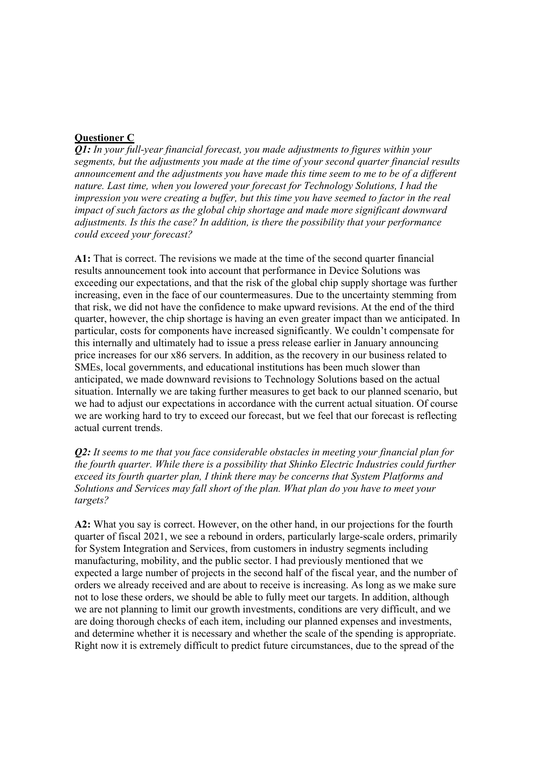# **Questioner C**

*Q1: In your full-year financial forecast, you made adjustments to figures within your segments, but the adjustments you made at the time of your second quarter financial results announcement and the adjustments you have made this time seem to me to be of a different nature. Last time, when you lowered your forecast for Technology Solutions, I had the impression you were creating a buffer, but this time you have seemed to factor in the real impact of such factors as the global chip shortage and made more significant downward adjustments. Is this the case? In addition, is there the possibility that your performance could exceed your forecast?*

**A1:** That is correct. The revisions we made at the time of the second quarter financial results announcement took into account that performance in Device Solutions was exceeding our expectations, and that the risk of the global chip supply shortage was further increasing, even in the face of our countermeasures. Due to the uncertainty stemming from that risk, we did not have the confidence to make upward revisions. At the end of the third quarter, however, the chip shortage is having an even greater impact than we anticipated. In particular, costs for components have increased significantly. We couldn't compensate for this internally and ultimately had to issue a press release earlier in January announcing price increases for our x86 servers. In addition, as the recovery in our business related to SMEs, local governments, and educational institutions has been much slower than anticipated, we made downward revisions to Technology Solutions based on the actual situation. Internally we are taking further measures to get back to our planned scenario, but we had to adjust our expectations in accordance with the current actual situation. Of course we are working hard to try to exceed our forecast, but we feel that our forecast is reflecting actual current trends.

*Q2: It seems to me that you face considerable obstacles in meeting your financial plan for the fourth quarter. While there is a possibility that Shinko Electric Industries could further exceed its fourth quarter plan, I think there may be concerns that System Platforms and Solutions and Services may fall short of the plan. What plan do you have to meet your targets?*

**A2:** What you say is correct. However, on the other hand, in our projections for the fourth quarter of fiscal 2021, we see a rebound in orders, particularly large-scale orders, primarily for System Integration and Services, from customers in industry segments including manufacturing, mobility, and the public sector. I had previously mentioned that we expected a large number of projects in the second half of the fiscal year, and the number of orders we already received and are about to receive is increasing. As long as we make sure not to lose these orders, we should be able to fully meet our targets. In addition, although we are not planning to limit our growth investments, conditions are very difficult, and we are doing thorough checks of each item, including our planned expenses and investments, and determine whether it is necessary and whether the scale of the spending is appropriate. Right now it is extremely difficult to predict future circumstances, due to the spread of the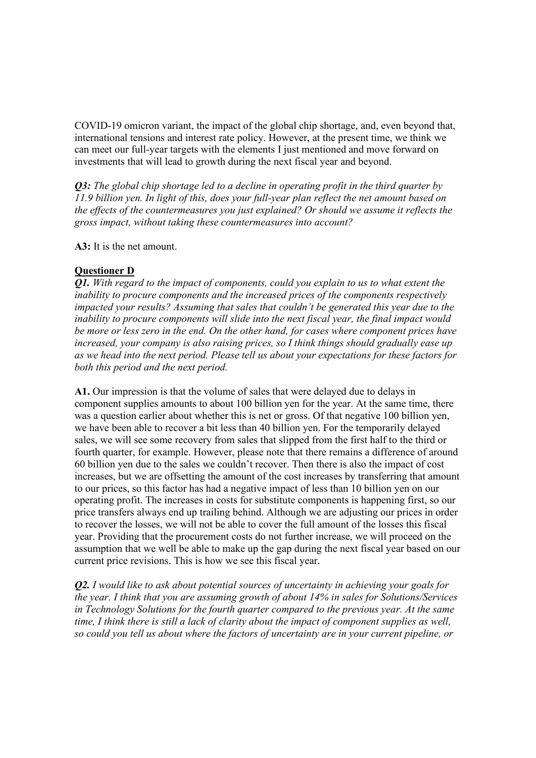COVID-19 omicron variant, the impact of the global chip shortage, and, even beyond that, international tensions and interest rate policy. However, at the present time, we think we can meet our full-year targets with the elements I just mentioned and move forward on investments that will lead to growth during the next fiscal year and beyond.

*Q3: The global chip shortage led to a decline in operating profit in the third quarter by 11.9 billion yen. In light of this, does your full-year plan reflect the net amount based on the effects of the countermeasures you just explained? Or should we assume it reflects the gross impact, without taking these countermeasures into account?*

**A3:** It is the net amount.

## **Questioner D**

*Q1. With regard to the impact of components, could you explain to us to what extent the inability to procure components and the increased prices of the components respectively impacted your results? Assuming that sales that couldn't be generated this year due to the inability to procure components will slide into the next fiscal year, the final impact would be more or less zero in the end. On the other hand, for cases where component prices have increased, your company is also raising prices, so I think things should gradually ease up as we head into the next period. Please tell us about your expectations for these factors for both this period and the next period.*

**A1.** Our impression is that the volume of sales that were delayed due to delays in component supplies amounts to about 100 billion yen for the year. At the same time, there was a question earlier about whether this is net or gross. Of that negative 100 billion yen, we have been able to recover a bit less than 40 billion yen. For the temporarily delayed sales, we will see some recovery from sales that slipped from the first half to the third or fourth quarter, for example. However, please note that there remains a difference of around 60 billion yen due to the sales we couldn't recover. Then there is also the impact of cost increases, but we are offsetting the amount of the cost increases by transferring that amount to our prices, so this factor has had a negative impact of less than 10 billion yen on our operating profit. The increases in costs for substitute components is happening first, so our price transfers always end up trailing behind. Although we are adjusting our prices in order to recover the losses, we will not be able to cover the full amount of the losses this fiscal year. Providing that the procurement costs do not further increase, we will proceed on the assumption that we well be able to make up the gap during the next fiscal year based on our current price revisions. This is how we see this fiscal year.

*Q2. I would like to ask about potential sources of uncertainty in achieving your goals for the year. I think that you are assuming growth of about 14% in sales for Solutions/Services in Technology Solutions for the fourth quarter compared to the previous year. At the same time, I think there is still a lack of clarity about the impact of component supplies as well, so could you tell us about where the factors of uncertainty are in your current pipeline, or*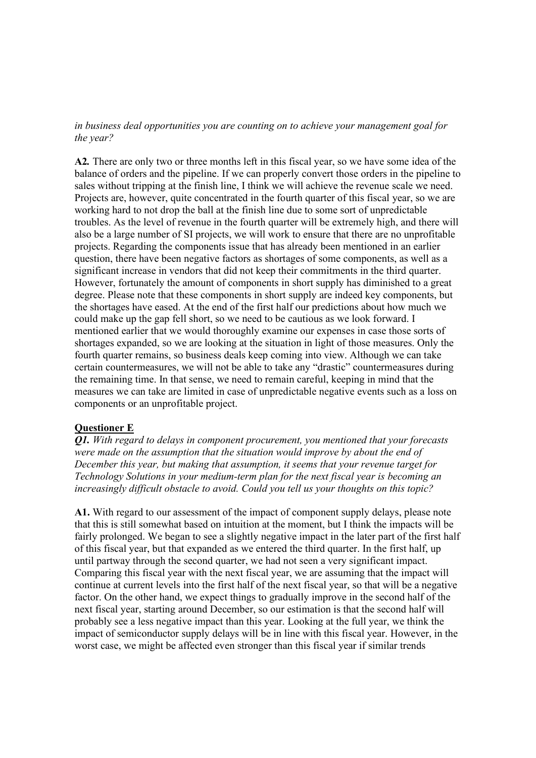#### *in business deal opportunities you are counting on to achieve your management goal for the year?*

**A2***.* There are only two or three months left in this fiscal year, so we have some idea of the balance of orders and the pipeline. If we can properly convert those orders in the pipeline to sales without tripping at the finish line, I think we will achieve the revenue scale we need. Projects are, however, quite concentrated in the fourth quarter of this fiscal year, so we are working hard to not drop the ball at the finish line due to some sort of unpredictable troubles. As the level of revenue in the fourth quarter will be extremely high, and there will also be a large number of SI projects, we will work to ensure that there are no unprofitable projects. Regarding the components issue that has already been mentioned in an earlier question, there have been negative factors as shortages of some components, as well as a significant increase in vendors that did not keep their commitments in the third quarter. However, fortunately the amount of components in short supply has diminished to a great degree. Please note that these components in short supply are indeed key components, but the shortages have eased. At the end of the first half our predictions about how much we could make up the gap fell short, so we need to be cautious as we look forward. I mentioned earlier that we would thoroughly examine our expenses in case those sorts of shortages expanded, so we are looking at the situation in light of those measures. Only the fourth quarter remains, so business deals keep coming into view. Although we can take certain countermeasures, we will not be able to take any "drastic" countermeasures during the remaining time. In that sense, we need to remain careful, keeping in mind that the measures we can take are limited in case of unpredictable negative events such as a loss on components or an unprofitable project.

### **Questioner E**

*Q1. With regard to delays in component procurement, you mentioned that your forecasts were made on the assumption that the situation would improve by about the end of December this year, but making that assumption, it seems that your revenue target for Technology Solutions in your medium-term plan for the next fiscal year is becoming an increasingly difficult obstacle to avoid. Could you tell us your thoughts on this topic?*

**A1.** With regard to our assessment of the impact of component supply delays, please note that this is still somewhat based on intuition at the moment, but I think the impacts will be fairly prolonged. We began to see a slightly negative impact in the later part of the first half of this fiscal year, but that expanded as we entered the third quarter. In the first half, up until partway through the second quarter, we had not seen a very significant impact. Comparing this fiscal year with the next fiscal year, we are assuming that the impact will continue at current levels into the first half of the next fiscal year, so that will be a negative factor. On the other hand, we expect things to gradually improve in the second half of the next fiscal year, starting around December, so our estimation is that the second half will probably see a less negative impact than this year. Looking at the full year, we think the impact of semiconductor supply delays will be in line with this fiscal year. However, in the worst case, we might be affected even stronger than this fiscal year if similar trends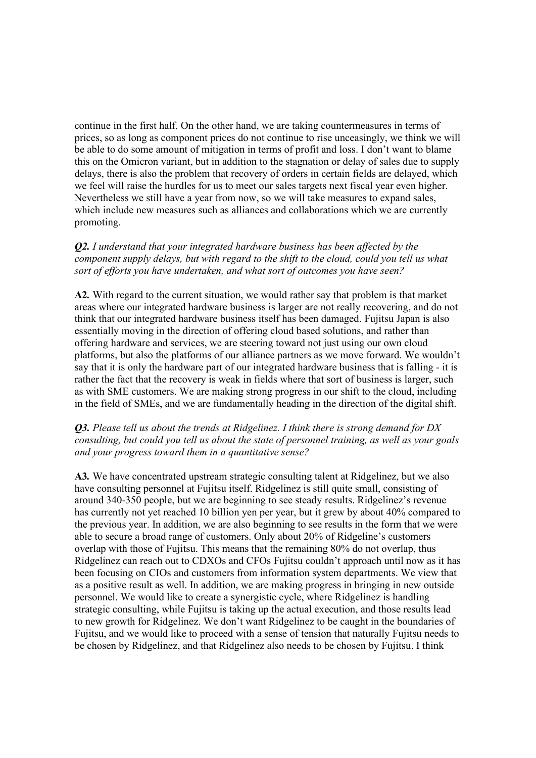continue in the first half. On the other hand, we are taking countermeasures in terms of prices, so as long as component prices do not continue to rise unceasingly, we think we will be able to do some amount of mitigation in terms of profit and loss. I don't want to blame this on the Omicron variant, but in addition to the stagnation or delay of sales due to supply delays, there is also the problem that recovery of orders in certain fields are delayed, which we feel will raise the hurdles for us to meet our sales targets next fiscal year even higher. Nevertheless we still have a year from now, so we will take measures to expand sales, which include new measures such as alliances and collaborations which we are currently promoting.

*Q2. I understand that your integrated hardware business has been affected by the component supply delays, but with regard to the shift to the cloud, could you tell us what sort of efforts you have undertaken, and what sort of outcomes you have seen?*

**A2***.* With regard to the current situation, we would rather say that problem is that market areas where our integrated hardware business is larger are not really recovering, and do not think that our integrated hardware business itself has been damaged. Fujitsu Japan is also essentially moving in the direction of offering cloud based solutions, and rather than offering hardware and services, we are steering toward not just using our own cloud platforms, but also the platforms of our alliance partners as we move forward. We wouldn't say that it is only the hardware part of our integrated hardware business that is falling - it is rather the fact that the recovery is weak in fields where that sort of business is larger, such as with SME customers. We are making strong progress in our shift to the cloud, including in the field of SMEs, and we are fundamentally heading in the direction of the digital shift.

### *Q3. Please tell us about the trends at Ridgelinez. I think there is strong demand for DX consulting, but could you tell us about the state of personnel training, as well as your goals and your progress toward them in a quantitative sense?*

**A3***.* We have concentrated upstream strategic consulting talent at Ridgelinez, but we also have consulting personnel at Fujitsu itself. Ridgelinez is still quite small, consisting of around 340-350 people, but we are beginning to see steady results. Ridgelinez's revenue has currently not yet reached 10 billion yen per year, but it grew by about 40% compared to the previous year. In addition, we are also beginning to see results in the form that we were able to secure a broad range of customers. Only about 20% of Ridgeline's customers overlap with those of Fujitsu. This means that the remaining 80% do not overlap, thus Ridgelinez can reach out to CDXOs and CFOs Fujitsu couldn't approach until now as it has been focusing on CIOs and customers from information system departments. We view that as a positive result as well. In addition, we are making progress in bringing in new outside personnel. We would like to create a synergistic cycle, where Ridgelinez is handling strategic consulting, while Fujitsu is taking up the actual execution, and those results lead to new growth for Ridgelinez. We don't want Ridgelinez to be caught in the boundaries of Fujitsu, and we would like to proceed with a sense of tension that naturally Fujitsu needs to be chosen by Ridgelinez, and that Ridgelinez also needs to be chosen by Fujitsu. I think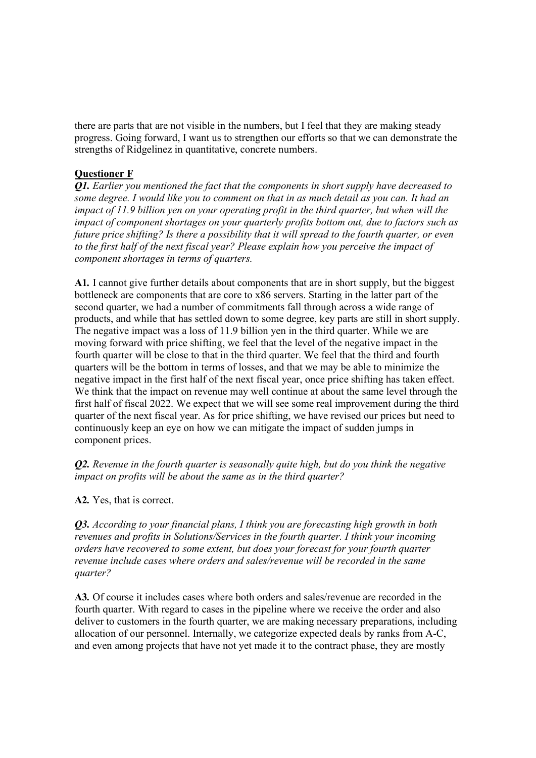there are parts that are not visible in the numbers, but I feel that they are making steady progress. Going forward, I want us to strengthen our efforts so that we can demonstrate the strengths of Ridgelinez in quantitative, concrete numbers.

# **Questioner F**

*Q1. Earlier you mentioned the fact that the components in short supply have decreased to* some degree. I would like you to comment on that in as much detail as you can. It had an *impact of 11.9 billion yen on your operating profit in the third quarter, but when will the impact of component shortages on your quarterly profits bottom out, due to factors such as future price shifting? Is there a possibility that it will spread to the fourth quarter, or even to the first half of the next fiscal year? Please explain how you perceive the impact of component shortages in terms of quarters.*

**A1***.* I cannot give further details about components that are in short supply, but the biggest bottleneck are components that are core to x86 servers. Starting in the latter part of the second quarter, we had a number of commitments fall through across a wide range of products, and while that has settled down to some degree, key parts are still in short supply. The negative impact was a loss of 11.9 billion yen in the third quarter. While we are moving forward with price shifting, we feel that the level of the negative impact in the fourth quarter will be close to that in the third quarter. We feel that the third and fourth quarters will be the bottom in terms of losses, and that we may be able to minimize the negative impact in the first half of the next fiscal year, once price shifting has taken effect. We think that the impact on revenue may well continue at about the same level through the first half of fiscal 2022. We expect that we will see some real improvement during the third quarter of the next fiscal year. As for price shifting, we have revised our prices but need to continuously keep an eye on how we can mitigate the impact of sudden jumps in component prices.

*Q2. Revenue in the fourth quarter is seasonally quite high, but do you think the negative impact on profits will be about the same as in the third quarter?*

**A2***.* Yes, that is correct.

*Q3. According to your financial plans, I think you are forecasting high growth in both revenues and profits in Solutions/Services in the fourth quarter. I think your incoming orders have recovered to some extent, but does your forecast for your fourth quarter revenue include cases where orders and sales/revenue will be recorded in the same quarter?*

**A3***.* Of course it includes cases where both orders and sales/revenue are recorded in the fourth quarter. With regard to cases in the pipeline where we receive the order and also deliver to customers in the fourth quarter, we are making necessary preparations, including allocation of our personnel. Internally, we categorize expected deals by ranks from A-C, and even among projects that have not yet made it to the contract phase, they are mostly